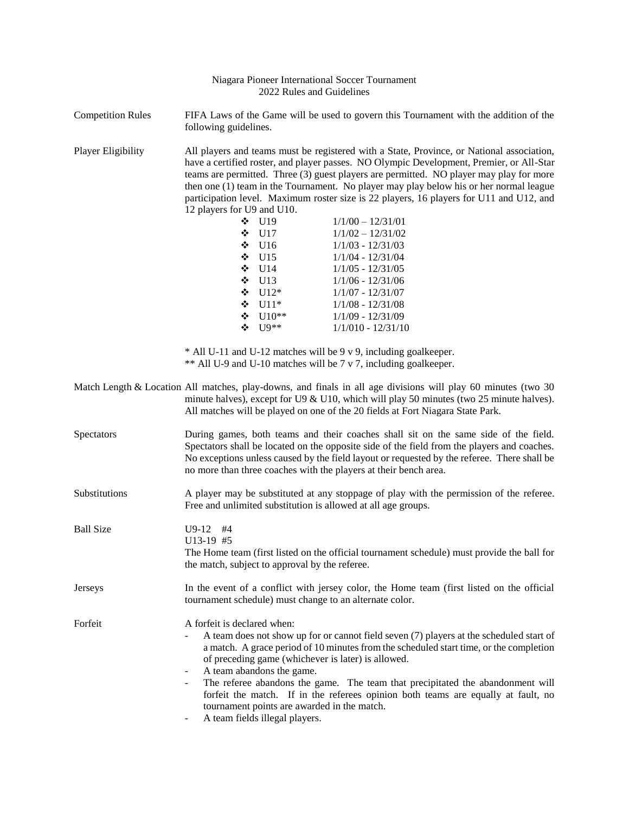| Niagara Pioneer International Soccer Tournament<br>2022 Rules and Guidelines |                                                                                                                                                                                                                                                                                                                                                                                                                                                                                                       |                                                                               |                                                                                                                                                                                                                                                                                                                           |  |
|------------------------------------------------------------------------------|-------------------------------------------------------------------------------------------------------------------------------------------------------------------------------------------------------------------------------------------------------------------------------------------------------------------------------------------------------------------------------------------------------------------------------------------------------------------------------------------------------|-------------------------------------------------------------------------------|---------------------------------------------------------------------------------------------------------------------------------------------------------------------------------------------------------------------------------------------------------------------------------------------------------------------------|--|
| <b>Competition Rules</b>                                                     | FIFA Laws of the Game will be used to govern this Tournament with the addition of the<br>following guidelines.                                                                                                                                                                                                                                                                                                                                                                                        |                                                                               |                                                                                                                                                                                                                                                                                                                           |  |
| Player Eligibility                                                           | All players and teams must be registered with a State, Province, or National association,<br>have a certified roster, and player passes. NO Olympic Development, Premier, or All-Star<br>teams are permitted. Three (3) guest players are permitted. NO player may play for more<br>then one $(1)$ team in the Tournament. No player may play below his or her normal league<br>participation level. Maximum roster size is 22 players, 16 players for U11 and U12, and<br>12 players for U9 and U10. |                                                                               |                                                                                                                                                                                                                                                                                                                           |  |
|                                                                              |                                                                                                                                                                                                                                                                                                                                                                                                                                                                                                       | $\div$ U19                                                                    | $1/1/00 - 12/31/01$                                                                                                                                                                                                                                                                                                       |  |
|                                                                              | ❖                                                                                                                                                                                                                                                                                                                                                                                                                                                                                                     | U17                                                                           | $1/1/02 - 12/31/02$                                                                                                                                                                                                                                                                                                       |  |
|                                                                              |                                                                                                                                                                                                                                                                                                                                                                                                                                                                                                       | $\div$ U16                                                                    | $1/1/03 - 12/31/03$                                                                                                                                                                                                                                                                                                       |  |
|                                                                              |                                                                                                                                                                                                                                                                                                                                                                                                                                                                                                       | $\div$ U15                                                                    | $1/1/04 - 12/31/04$                                                                                                                                                                                                                                                                                                       |  |
|                                                                              |                                                                                                                                                                                                                                                                                                                                                                                                                                                                                                       | $\div$ U14                                                                    | $1/1/05 - 12/31/05$                                                                                                                                                                                                                                                                                                       |  |
|                                                                              |                                                                                                                                                                                                                                                                                                                                                                                                                                                                                                       | $\div$ U13                                                                    | $1/1/06 - 12/31/06$                                                                                                                                                                                                                                                                                                       |  |
|                                                                              |                                                                                                                                                                                                                                                                                                                                                                                                                                                                                                       | $\div$ U12*                                                                   | $1/1/07 - 12/31/07$                                                                                                                                                                                                                                                                                                       |  |
|                                                                              |                                                                                                                                                                                                                                                                                                                                                                                                                                                                                                       | $\div$ U11*                                                                   | $1/1/08 - 12/31/08$                                                                                                                                                                                                                                                                                                       |  |
|                                                                              |                                                                                                                                                                                                                                                                                                                                                                                                                                                                                                       | $\bullet$ U10**                                                               | $1/1/09 - 12/31/09$                                                                                                                                                                                                                                                                                                       |  |
|                                                                              | ❖                                                                                                                                                                                                                                                                                                                                                                                                                                                                                                     | $U9**$                                                                        | $1/1/010 - 12/31/10$                                                                                                                                                                                                                                                                                                      |  |
|                                                                              |                                                                                                                                                                                                                                                                                                                                                                                                                                                                                                       |                                                                               | * All U-11 and U-12 matches will be 9 v 9, including goalkeeper.<br>** All U-9 and U-10 matches will be 7 v 7, including goalkeeper.                                                                                                                                                                                      |  |
|                                                                              |                                                                                                                                                                                                                                                                                                                                                                                                                                                                                                       |                                                                               | Match Length & Location All matches, play-downs, and finals in all age divisions will play 60 minutes (two 30<br>minute halves), except for U9 & U10, which will play 50 minutes (two 25 minute halves).<br>All matches will be played on one of the 20 fields at Fort Niagara State Park.                                |  |
| Spectators                                                                   | During games, both teams and their coaches shall sit on the same side of the field.<br>Spectators shall be located on the opposite side of the field from the players and coaches.<br>No exceptions unless caused by the field layout or requested by the referee. There shall be<br>no more than three coaches with the players at their bench area.                                                                                                                                                 |                                                                               |                                                                                                                                                                                                                                                                                                                           |  |
| Substitutions                                                                | A player may be substituted at any stoppage of play with the permission of the referee.<br>Free and unlimited substitution is allowed at all age groups.                                                                                                                                                                                                                                                                                                                                              |                                                                               |                                                                                                                                                                                                                                                                                                                           |  |
| <b>Ball Size</b>                                                             | $U9-12$<br>#4<br>U13-19 #5<br>The Home team (first listed on the official tournament schedule) must provide the ball for<br>the match, subject to approval by the referee.                                                                                                                                                                                                                                                                                                                            |                                                                               |                                                                                                                                                                                                                                                                                                                           |  |
| Jerseys                                                                      | In the event of a conflict with jersey color, the Home team (first listed on the official<br>tournament schedule) must change to an alternate color.                                                                                                                                                                                                                                                                                                                                                  |                                                                               |                                                                                                                                                                                                                                                                                                                           |  |
| Forfeit                                                                      | A forfeit is declared when:<br>$\overline{\phantom{a}}$<br>$\overline{\phantom{a}}$                                                                                                                                                                                                                                                                                                                                                                                                                   | A team abandons the game.                                                     | A team does not show up for or cannot field seven (7) players at the scheduled start of<br>a match. A grace period of 10 minutes from the scheduled start time, or the completion<br>of preceding game (whichever is later) is allowed.<br>The referee abandons the game. The team that precipitated the abandonment will |  |
|                                                                              |                                                                                                                                                                                                                                                                                                                                                                                                                                                                                                       | tournament points are awarded in the match.<br>A team fields illegal players. | forfeit the match. If in the referees opinion both teams are equally at fault, no                                                                                                                                                                                                                                         |  |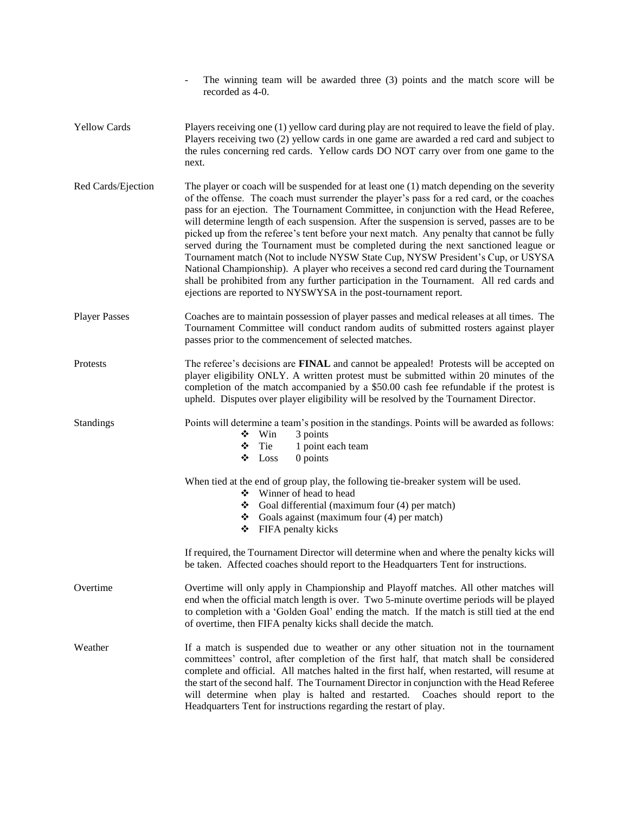|                      | The winning team will be awarded three (3) points and the match score will be<br>recorded as 4-0.                                                                                                                                                                                                                                                                                                                                                                                                                                                                                                                                                                                                                                                                                                                                                                                                              |  |  |  |
|----------------------|----------------------------------------------------------------------------------------------------------------------------------------------------------------------------------------------------------------------------------------------------------------------------------------------------------------------------------------------------------------------------------------------------------------------------------------------------------------------------------------------------------------------------------------------------------------------------------------------------------------------------------------------------------------------------------------------------------------------------------------------------------------------------------------------------------------------------------------------------------------------------------------------------------------|--|--|--|
| <b>Yellow Cards</b>  | Players receiving one (1) yellow card during play are not required to leave the field of play.<br>Players receiving two (2) yellow cards in one game are awarded a red card and subject to<br>the rules concerning red cards. Yellow cards DO NOT carry over from one game to the<br>next.                                                                                                                                                                                                                                                                                                                                                                                                                                                                                                                                                                                                                     |  |  |  |
| Red Cards/Ejection   | The player or coach will be suspended for at least one (1) match depending on the severity<br>of the offense. The coach must surrender the player's pass for a red card, or the coaches<br>pass for an ejection. The Tournament Committee, in conjunction with the Head Referee,<br>will determine length of each suspension. After the suspension is served, passes are to be<br>picked up from the referee's tent before your next match. Any penalty that cannot be fully<br>served during the Tournament must be completed during the next sanctioned league or<br>Tournament match (Not to include NYSW State Cup, NYSW President's Cup, or USYSA<br>National Championship). A player who receives a second red card during the Tournament<br>shall be prohibited from any further participation in the Tournament. All red cards and<br>ejections are reported to NYSWYSA in the post-tournament report. |  |  |  |
| <b>Player Passes</b> | Coaches are to maintain possession of player passes and medical releases at all times. The<br>Tournament Committee will conduct random audits of submitted rosters against player<br>passes prior to the commencement of selected matches.                                                                                                                                                                                                                                                                                                                                                                                                                                                                                                                                                                                                                                                                     |  |  |  |
| Protests             | The referee's decisions are <b>FINAL</b> and cannot be appealed! Protests will be accepted on<br>player eligibility ONLY. A written protest must be submitted within 20 minutes of the<br>completion of the match accompanied by a \$50.00 cash fee refundable if the protest is<br>upheld. Disputes over player eligibility will be resolved by the Tournament Director.                                                                                                                                                                                                                                                                                                                                                                                                                                                                                                                                      |  |  |  |
| <b>Standings</b>     | Points will determine a team's position in the standings. Points will be awarded as follows:<br>3 points<br>❖<br>Win<br>Tie<br>1 point each team<br>❖<br>Loss<br>$0$ points<br>❖                                                                                                                                                                                                                                                                                                                                                                                                                                                                                                                                                                                                                                                                                                                               |  |  |  |
|                      | When tied at the end of group play, the following tie-breaker system will be used.<br>Winner of head to head<br>❖<br>$\bullet$ Goal differential (maximum four (4) per match)<br>$\bullet$ Goals against (maximum four (4) per match)<br>FIFA penalty kicks<br>❖                                                                                                                                                                                                                                                                                                                                                                                                                                                                                                                                                                                                                                               |  |  |  |
|                      | If required, the Tournament Director will determine when and where the penalty kicks will<br>be taken. Affected coaches should report to the Headquarters Tent for instructions.                                                                                                                                                                                                                                                                                                                                                                                                                                                                                                                                                                                                                                                                                                                               |  |  |  |
| Overtime             | Overtime will only apply in Championship and Playoff matches. All other matches will<br>end when the official match length is over. Two 5-minute overtime periods will be played<br>to completion with a 'Golden Goal' ending the match. If the match is still tied at the end<br>of overtime, then FIFA penalty kicks shall decide the match.                                                                                                                                                                                                                                                                                                                                                                                                                                                                                                                                                                 |  |  |  |
| Weather              | If a match is suspended due to weather or any other situation not in the tournament<br>committees' control, after completion of the first half, that match shall be considered<br>complete and official. All matches halted in the first half, when restarted, will resume at<br>the start of the second half. The Tournament Director in conjunction with the Head Referee<br>will determine when play is halted and restarted.<br>Coaches should report to the<br>Headquarters Tent for instructions regarding the restart of play.                                                                                                                                                                                                                                                                                                                                                                          |  |  |  |